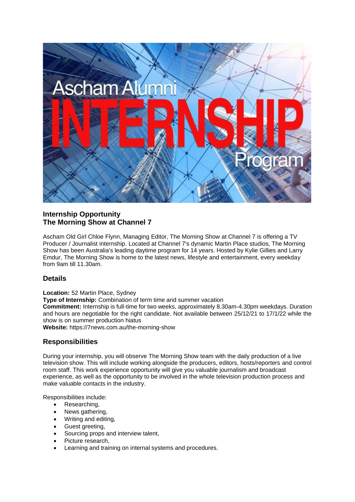

# **Internship Opportunity The Morning Show at Channel 7**

Ascham Old Girl Chloe Flynn, Managing Editor, The Morning Show at Channel 7 is offering a TV Producer / Journalist internship. Located at Channel 7's dynamic Martin Place studios, The Morning Show has been Australia's leading daytime program for 14 years. Hosted by Kylie Gillies and Larry Emdur, The Morning Show is home to the latest news, lifestyle and entertainment, every weekday from 9am till 11.30am.

## **Details**

**Location:** 52 Martin Place, Sydney **Type of Internship:** Combination of term time and summer vacation **Commitment:** Internship is full-time for two weeks, approximately 8.30am-4.30pm weekdays. Duration and hours are negotiable for the right candidate. Not available between 25/12/21 to 17/1/22 while the show is on summer production hiatus

**Website:** https://7news.com.au/the-morning-show

## **Responsibilities**

During your internship, you will observe The Morning Show team with the daily production of a live television show. This will include working alongside the producers, editors, hosts/reporters and control room staff. This work experience opportunity will give you valuable journalism and broadcast experience, as well as the opportunity to be involved in the whole television production process and make valuable contacts in the industry.

Responsibilities include:

- Researching,
- News gathering,
- Writing and editing,
- Guest greeting,
- Sourcing props and interview talent,
- Picture research.
- Learning and training on internal systems and procedures.